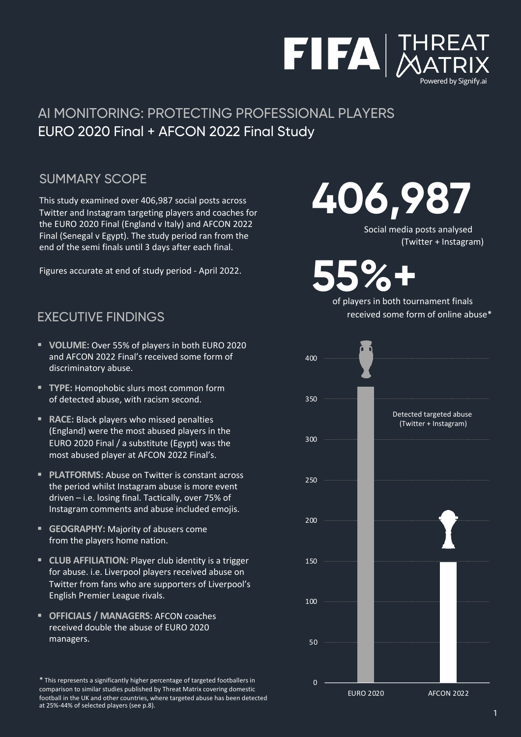

#### SUMMARY SCOPE

This study examined over 406,987 social posts across Twitter and Instagram targeting players and coaches for the EURO 2020 Final (England v Italy) and AFCON 2022 Final (Senegal v Egypt). The study period ran from the end of the semi finals until 3 days after each final.

Figures accurate at end of study period - April 2022.

#### EXECUTIVE FINDINGS

- § **VOLUME:** Over 55% of players in both EURO 2020 and AFCON 2022 Final's received some form of discriminatory abuse.
- **TYPE: Homophobic slurs most common form** of detected abuse, with racism second.
- **RACE:** Black players who missed penalties (England) were the most abused players in the EURO 2020 Final / a substitute (Egypt) was the most abused player at AFCON 2022 Final's.
- **PLATFORMS:** Abuse on Twitter is constant across the period whilst Instagram abuse is more event driven – i.e. losing final. Tactically, over 75% of Instagram comments and abuse included emojis.
- § **GEOGRAPHY:** Majority of abusers come from the players home nation.
- **E** CLUB AFFILIATION: Player club identity is a trigger for abuse. i.e. Liverpool players received abuse on Twitter from fans who are supporters of Liverpool's English Premier League rivals.
- § **OFFICIALS / MANAGERS:** AFCON coaches received double the abuse of EURO 2020 managers.

\* This represents a significantly higher percentage of targeted footballers in comparison to similar studies published by Threat Matrix covering domestic football in the UK and other countries, where targeted abuse has been detected at 25%-44% of selected players (see p.8).

**406,987**

Social media posts analysed (Twitter + Instagram)

**55%+**

of players in both tournament finals received some form of online abuse\*

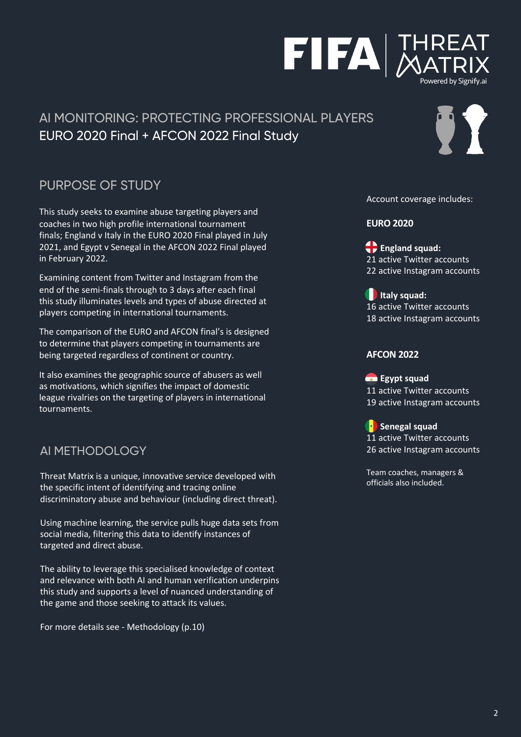# PURPOSE OF STUDY

This study seeks to examine abuse targeting players and coaches in two high profile international tournament finals; England v Italy in the EURO 2020 Final played in July 2021, and Egypt v Senegal in the AFCON 2022 Final played in February 2022.

Examining content from Twitter and Instagram from the end of the semi-finals through to 3 days after each final this study illuminates levels and types of abuse directed at players competing in international tournaments.

The comparison of the EURO and AFCON final's is designed to determine that players competing in tournaments are being targeted regardless of continent or country.

It also examines the geographic source of abusers as well as motivations, which signifies the impact of domestic league rivalries on the targeting of players in international tournaments.

#### AI METHODOLOGY

Threat Matrix is a unique, innovative service developed with the specific intent of identifying and tracing online discriminatory abuse and behaviour (including direct threat).

Using machine learning, the service pulls huge data sets from social media, filtering this data to identify instances of targeted and direct abuse.

The ability to leverage this specialised knowledge of context and relevance with both AI and human verification underpins this study and supports a level of nuanced understanding of the game and those seeking to attack its values.

For more details see - Methodology (p.10)

#### Account coverage includes:

#### **EURO 2020**

**England squad:** 21 active Twitter accounts 22 active Instagram accounts

**I**Italy squad: 16 active Twitter accounts 18 active Instagram accounts

#### **AFCON 2022**

**Egypt squad** 11 active Twitter accounts 19 active Instagram accounts

**Senegal squad** 11 active Twitter accounts 26 active Instagram accounts

Team coaches, managers & officials also included.



Powered by Signify.ai



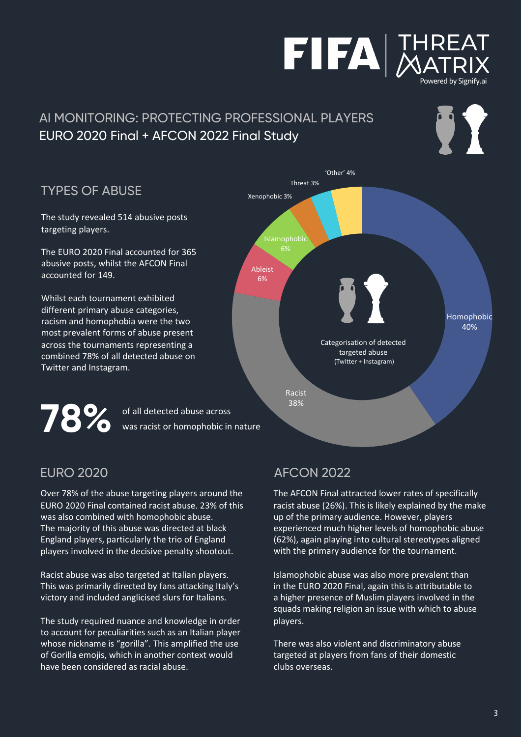

#### TYPES OF ABUSE

The study revealed 514 abusive posts targeting players.

The EURO 2020 Final accounted for 365 abusive posts, whilst the AFCON Final accounted for 149.

Whilst each tournament exhibited different primary abuse categories, racism and homophobia were the two most prevalent forms of abuse present across the tournaments representing a combined 78% of all detected abuse on Twitter and Instagram.



'Other' 4%

**FIFA MATRIX** 

Powered by Signify.ai

IT

**78 %** of all detected abuse across was racist or homophobic in nature

#### EURO 2020

Over 78% of the abuse targeting players around the EURO 2020 Final contained racist abuse. 23% of this was also combined with homophobic abuse. The majority of this abuse was directed at black England players, particularly the trio of England players involved in the decisive penalty shootout.

Racist abuse was also targeted at Italian players. This was primarily directed by fans attacking Italy's victory and included anglicised slurs for Italians.

The study required nuance and knowledge in order to account for peculiarities such as an Italian player whose nickname is "gorilla". This amplified the use of Gorilla emojis, which in another context would have been considered as racial abuse.

#### AFCON 2022

The AFCON Final attracted lower rates of specifically racist abuse (26%). This is likely explained by the make up of the primary audience. However, players experienced much higher levels of homophobic abuse (62%), again playing into cultural stereotypes aligned with the primary audience for the tournament.

Islamophobic abuse was also more prevalent than in the EURO 2020 Final, again this is attributable to a higher presence of Muslim players involved in the squads making religion an issue with which to abuse players.

There was also violent and discriminatory abuse targeted at players from fans of their domestic clubs overseas.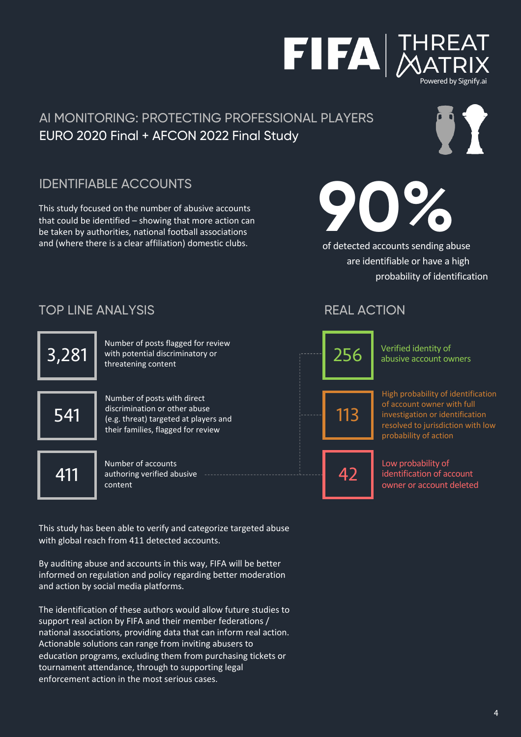# IDENTIFIABLE ACCOUNTS

This study focused on the number of abusive accounts that could be identified – showing that more action can be taken by authorities, national football associations and (where there is a clear affiliation) domestic clubs.

TOP LINE ANALYSIS



Number of posts with direct discrimination or other abuse (e.g. threat) targeted at players and their families, flagged for review

541

Number of accounts 411 authoring verified abusive <br>content content

This study has been able to verify and categorize targeted abuse with global reach from 411 detected accounts.

By auditing abuse and accounts in this way, FIFA will be better informed on regulation and policy regarding better moderation and action by social media platforms.

The identification of these authors would allow future studies to support real action by FIFA and their member federations / national associations, providing data that can inform real action. Actionable solutions can range from inviting abusers to education programs, excluding them from purchasing tickets or tournament attendance, through to supporting legal enforcement action in the most serious cases.

#### REAL ACTION

256 113 Verified identity of abusive account owners

High probability of identification of account owner with full investigation or identification resolved to jurisdiction with low probability of action

Low probability of identification of account owner or account deleted

**90%**

of detected accounts sending abuse are identifiable or have a high probability of identification



Powered by Signify.ai



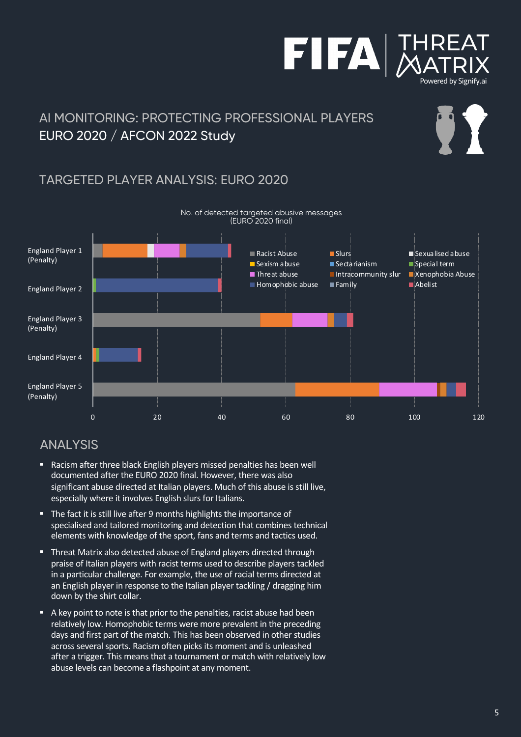



# 97

# TARGETED PLAYER ANALYSIS: EURO 2020



#### No. of detected targeted abusive messages (EURO 2020 final)

#### ANALYSIS

- Racism after three black English players missed penalties has been well documented after the EURO 2020 final. However, there was also significant abuse directed at Italian players. Much of this abuse is still live, especially where it involves English slurs for Italians.
- The fact it is still live after 9 months highlights the importance of specialised and tailored monitoring and detection that combines technical elements with knowledge of the sport, fans and terms and tactics used.
- Threat Matrix also detected abuse of England players directed through praise of Italian players with racist terms used to describe players tackled in a particular challenge. For example, the use of racial terms directed at an English player in response to the Italian player tackling / dragging him down by the shirt collar.
- A key point to note is that prior to the penalties, racist abuse had been relatively low. Homophobic terms were more prevalent in the preceding days and first part of the match. This has been observed in other studies across several sports. Racism often picks its moment and is unleashed after a trigger. This means that a tournament or match with relatively low abuse levels can become a flashpoint at any moment.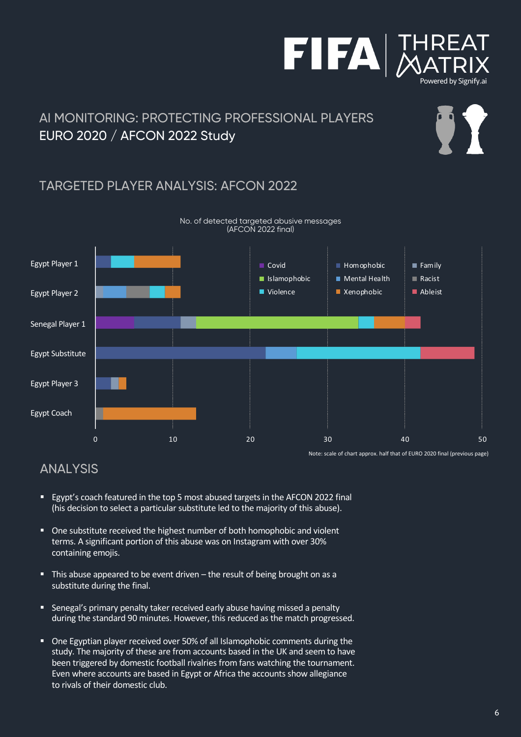



IT

### AI MONITORING: PROTECTING PROFESSIONAL PLAYERS EURO 2020 / AFCON 2022 Study

#### TARGETED PLAYER ANALYSIS: AFCON 2022



#### ANALYSIS

- Egypt's coach featured in the top 5 most abused targets in the AFCON 2022 final (his decision to select a particular substitute led to the majority of this abuse).
- One substitute received the highest number of both homophobic and violent terms. A significant portion of this abuse was on Instagram with over 30% containing emojis.
- This abuse appeared to be event driven the result of being brought on as a substitute during the final.
- Senegal's primary penalty taker received early abuse having missed a penalty during the standard 90 minutes. However, this reduced as the match progressed.
- One Egyptian player received over 50% of all Islamophobic comments during the study. The majority of these are from accounts based in the UK and seem to have been triggered by domestic football rivalries from fans watching the tournament. Even where accounts are based in Egypt or Africa the accounts show allegiance to rivals of their domestic club.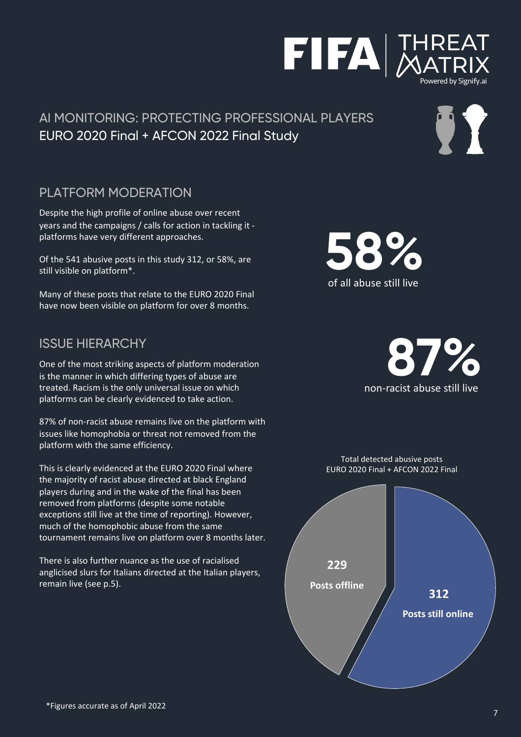#### PLATFORM MODERATION

Despite the high profile of online abuse over recent years and the campaigns / calls for action in tackling it platforms have very different approaches.

Of the 541 abusive posts in this study 312, or 58%, are still visible on platform\*.

Many of these posts that relate to the EURO 2020 Final have now been visible on platform for over 8 months.

#### ISSUE HIERARCHY

One of the most striking aspects of platform moderation is the manner in which differing types of abuse are treated. Racism is the only universal issue on which platforms can be clearly evidenced to take action.

87% of non-racist abuse remains live on the platform with issues like homophobia or threat not removed from the platform with the same efficiency.

This is clearly evidenced at the EURO 2020 Final where the majority of racist abuse directed at black England players during and in the wake of the final has been removed from platforms (despite some notable exceptions still live at the time of reporting). However, much of the homophobic abuse from the same tournament remains live on platform over 8 months later.

There is also further nuance as the use of racialised anglicised slurs for Italians directed at the Italian players, remain live (see p.5).



**87%**

of all abuse still live

**58%**





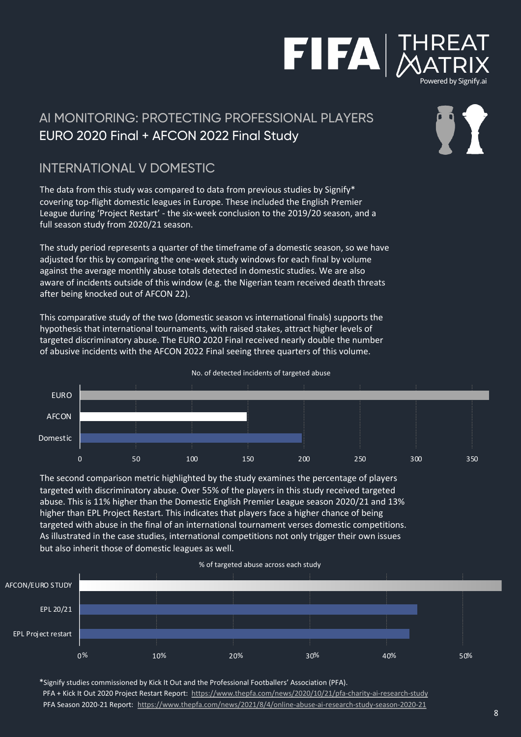# FIFA

# AI MONITORING: PROTECTING PROFESSIONAL PLAYERS EURO 2020 Final + AFCON 2022 Final Study

#### INTERNATIONAL V DOMESTIC

The data from this study was compared to data from previous studies by Signify\* covering top-flight domestic leagues in Europe. These included the English Premier League during 'Project Restart' - the six-week conclusion to the 2019/20 season, and a full season study from 2020/21 season.

The study period represents a quarter of the timeframe of a domestic season, so we have adjusted for this by comparing the one-week study windows for each final by volume against the average monthly abuse totals detected in domestic studies. We are also aware of incidents outside of this window (e.g. the Nigerian team received death threats after being knocked out of AFCON 22).

This comparative study of the two (domestic season vs international finals) supports the hypothesis that international tournaments, with raised stakes, attract higher levels of targeted discriminatory abuse. The EURO 2020 Final received nearly double the number of abusive incidents with the AFCON 2022 Final seeing three quarters of this volume.



The second comparison metric highlighted by the study examines the percentage of players targeted with discriminatory abuse. Over 55% of the players in this study received targeted abuse. This is 11% higher than the Domestic English Premier League season 2020/21 and 13% higher than EPL Project Restart. This indicates that players face a higher chance of being targeted with abuse in the final of an international tournament verses domestic competitions. As illustrated in the case studies, international competitions not only trigger their own issues but also inherit those of domestic leagues as well.



\*Signify studies commissioned by Kick It Out and the Professional Footballers' Association (PFA). PFA + Kick It Out 2020 Project Restart Report: <https://www.thepfa.com/news/2020/10/21/pfa-charity-ai-research-study> PFA Season 2020-21 Report: <https://www.thepfa.com/news/2021/8/4/online-abuse-ai-research-study-season-2020-21>

#### No. of detected incidents of targeted abuse



Powered by Signify.ai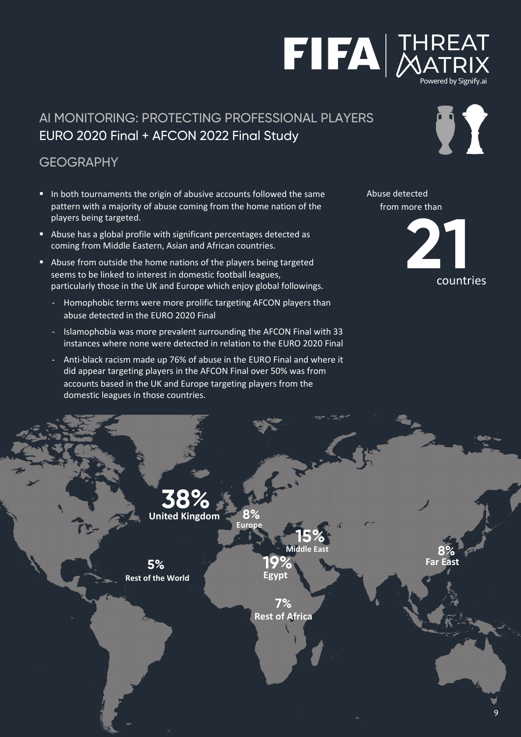#### **GFOGRAPHY**

- In both tournaments the origin of abusive accounts followed the same pattern with a majority of abuse coming from the home nation of the players being targeted.
- Abuse has a global profile with significant percentages detected as coming from Middle Eastern, Asian and African countries.
- Abuse from outside the home nations of the players being targeted seems to be linked to interest in domestic football leagues, particularly those in the UK and Europe which enjoy global followings.
	- Homophobic terms were more prolific targeting AFCON players than abuse detected in the EURO 2020 Final
	- Islamophobia was more prevalent surrounding the AFCON Final with 33 instances where none were detected in relation to the EURO 2020 Final
	- Anti-black racism made up 76% of abuse in the EURO Final and where it did appear targeting players in the AFCON Final over 50% was from accounts based in the UK and Europe targeting players from the domestic leagues in those countries.



Abuse detected

countries